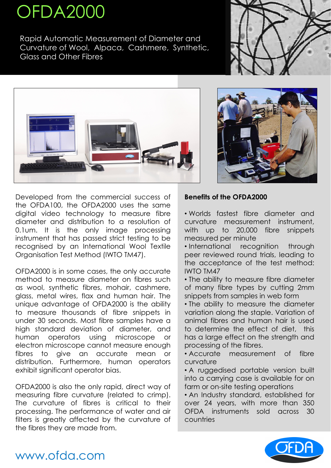# OFDA2000

Rapid Automatic Measurement of Diameter and Curvature of Wool, Alpaca, Cashmere, Synthetic, Glass and Other Fibres







Developed from the commercial success of the OFDA100, the OFDA2000 uses the same digital video technology to measure fibre diameter and distribution to a resolution of 0.1um. It is the only image processing instrument that has passed strict testing to be recognised by an International Wool Textile Organisation Test Method (IWTO TM47).

OFDA2000 is in some cases, the only accurate method to measure diameter on fibres such as wool, synthetic fibres, mohair, cashmere, glass, metal wires, flax and human hair. The unique advantage of OFDA2000 is the ability to measure thousands of fibre snippets in under 30 seconds. Most fibre samples have a high standard deviation of diameter, and human operators using microscope or electron microscope cannot measure enough fibres to give an accurate mean or distribution. Furthermore, human operators exhibit significant operator bias.

• International recognition through peer reviewed round trials, leading to the acceptance of the test method: IWTO TM47

OFDA2000 is also the only rapid, direct way of measuring fibre curvature (related to crimp). The curvature of fibres is critical to their processing. The performance of water and air filters is greatly affected by the curvature of the fibres they are made from.

# www.ofda.com



## **Benefits of the OFDA2000**

• Worlds fastest fibre diameter and curvature measurement instrument, with up to 20,000 fibre snippets measured per minute

• The ability to measure fibre diameter of many fibre types by cutting 2mm snippets from samples in web form

• The ability to measure the diameter variation along the staple. Variation of animal fibres and human hair is used to determine the effect of diet, this has a large effect on the strength and processing of the fibres.

• Accurate measurement of fibre curvature

• A ruggedised portable version built into a carrying case is available for on farm or on-site testing operations • An Industry standard, established for over 24 years, with more than 350 OFDA instruments sold across 30 countries